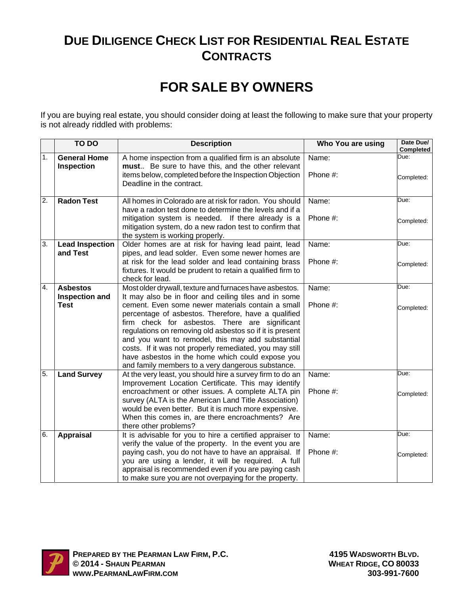## **DUE DILIGENCE CHECK LIST FOR RESIDENTIAL REAL ESTATE CONTRACTS**

## **FOR SALE BY OWNERS**

If you are buying real estate, you should consider doing at least the following to make sure that your property is not already riddled with problems:

|                  | TO DO                                    | <b>Description</b>                                                                                                                                                                                                                                                                                                                                                                         | Who You are using | Date Due/<br><b>Completed</b> |
|------------------|------------------------------------------|--------------------------------------------------------------------------------------------------------------------------------------------------------------------------------------------------------------------------------------------------------------------------------------------------------------------------------------------------------------------------------------------|-------------------|-------------------------------|
| 1.               | <b>General Home</b><br><b>Inspection</b> | A home inspection from a qualified firm is an absolute<br>must Be sure to have this, and the other relevant                                                                                                                                                                                                                                                                                | Name:             | Due:                          |
|                  |                                          | items below, completed before the Inspection Objection<br>Deadline in the contract.                                                                                                                                                                                                                                                                                                        | Phone #:          | Completed:                    |
| $\overline{2}$ . | <b>Radon Test</b>                        | All homes in Colorado are at risk for radon. You should<br>have a radon test done to determine the levels and if a                                                                                                                                                                                                                                                                         | Name:             | Due:                          |
|                  |                                          | mitigation system is needed. If there already is a<br>mitigation system, do a new radon test to confirm that<br>the system is working properly.                                                                                                                                                                                                                                            | Phone #:          | Completed:                    |
| း                | <b>Lead Inspection</b>                   | Older homes are at risk for having lead paint, lead                                                                                                                                                                                                                                                                                                                                        | Name:             | Due:                          |
|                  | and Test                                 | pipes, and lead solder. Even some newer homes are<br>at risk for the lead solder and lead containing brass<br>fixtures. It would be prudent to retain a qualified firm to<br>check for lead.                                                                                                                                                                                               | Phone #:          | Completed:                    |
| $\overline{4}$ . | <b>Asbestos</b>                          | Most older drywall, texture and furnaces have asbestos.                                                                                                                                                                                                                                                                                                                                    | Name:             | Due:                          |
|                  | <b>Inspection and</b><br><b>Test</b>     | It may also be in floor and ceiling tiles and in some<br>cement. Even some newer materials contain a small                                                                                                                                                                                                                                                                                 | Phone #:          |                               |
|                  |                                          | percentage of asbestos. Therefore, have a qualified<br>firm check for asbestos. There are significant<br>regulations on removing old asbestos so if it is present<br>and you want to remodel, this may add substantial<br>costs. If it was not properly remediated, you may still<br>have asbestos in the home which could expose you<br>and family members to a very dangerous substance. |                   | Completed:                    |
| 5.               | <b>Land Survey</b>                       | At the very least, you should hire a survey firm to do an<br>Improvement Location Certificate. This may identify                                                                                                                                                                                                                                                                           | Name:             | Due:                          |
|                  |                                          | encroachment or other issues. A complete ALTA pin<br>survey (ALTA is the American Land Title Association)<br>would be even better. But it is much more expensive.<br>When this comes in, are there encroachments? Are<br>there other problems?                                                                                                                                             | Phone #:          | Completed:                    |
| 6.               | <b>Appraisal</b>                         | It is advisable for you to hire a certified appraiser to                                                                                                                                                                                                                                                                                                                                   | Name:             | Due:                          |
|                  |                                          | verify the value of the property. In the event you are<br>paying cash, you do not have to have an appraisal. If<br>you are using a lender, it will be required. A full<br>appraisal is recommended even if you are paying cash<br>to make sure you are not overpaying for the property.                                                                                                    | Phone #:          | Completed:                    |

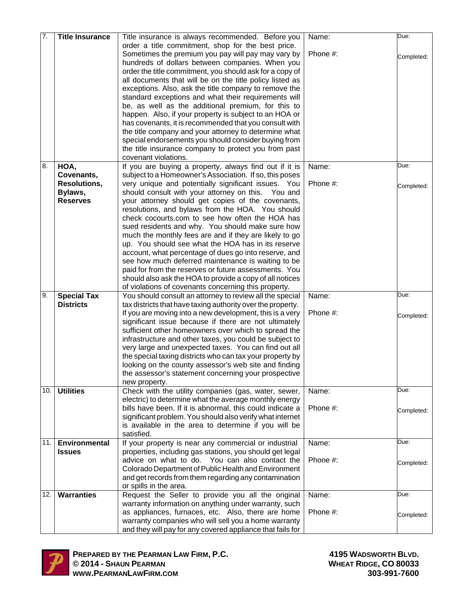| 7.  | <b>Title Insurance</b> | Title insurance is always recommended. Before you           | Name:    | Due:       |
|-----|------------------------|-------------------------------------------------------------|----------|------------|
|     |                        | order a title commitment, shop for the best price.          |          |            |
|     |                        | Sometimes the premium you pay will pay may vary by          | Phone #: |            |
|     |                        | hundreds of dollars between companies. When you             |          | Completed: |
|     |                        |                                                             |          |            |
|     |                        | order the title commitment, you should ask for a copy of    |          |            |
|     |                        | all documents that will be on the title policy listed as    |          |            |
|     |                        | exceptions. Also, ask the title company to remove the       |          |            |
|     |                        | standard exceptions and what their requirements will        |          |            |
|     |                        | be, as well as the additional premium, for this to          |          |            |
|     |                        | happen. Also, if your property is subject to an HOA or      |          |            |
|     |                        | has covenants, it is recommended that you consult with      |          |            |
|     |                        | the title company and your attorney to determine what       |          |            |
|     |                        | special endorsements you should consider buying from        |          |            |
|     |                        | the title insurance company to protect you from past        |          |            |
|     |                        | covenant violations.                                        |          |            |
| 8.  | HOA,                   | If you are buying a property, always find out if it is      | Name:    | Due:       |
|     | Covenants,             | subject to a Homeowner's Association. If so, this poses     |          |            |
|     | <b>Resolutions,</b>    | very unique and potentially significant issues. You         | Phone #: | Completed: |
|     | Bylaws,                | should consult with your attorney on this.  You and         |          |            |
|     | <b>Reserves</b>        | your attorney should get copies of the covenants,           |          |            |
|     |                        | resolutions, and bylaws from the HOA. You should            |          |            |
|     |                        | check cocourts.com to see how often the HOA has             |          |            |
|     |                        | sued residents and why. You should make sure how            |          |            |
|     |                        | much the monthly fees are and if they are likely to go      |          |            |
|     |                        | up. You should see what the HOA has in its reserve          |          |            |
|     |                        | account, what percentage of dues go into reserve, and       |          |            |
|     |                        | see how much deferred maintenance is waiting to be          |          |            |
|     |                        | paid for from the reserves or future assessments. You       |          |            |
|     |                        | should also ask the HOA to provide a copy of all notices    |          |            |
|     |                        | of violations of covenants concerning this property.        |          |            |
| 9.  | <b>Special Tax</b>     | You should consult an attorney to review all the special    | Name:    | Due:       |
|     | <b>Districts</b>       | tax districts that have taxing authority over the property. |          |            |
|     |                        | If you are moving into a new development, this is a very    | Phone #: | Completed: |
|     |                        | significant issue because if there are not ultimately       |          |            |
|     |                        | sufficient other homeowners over which to spread the        |          |            |
|     |                        | infrastructure and other taxes, you could be subject to     |          |            |
|     |                        | very large and unexpected taxes. You can find out all       |          |            |
|     |                        | the special taxing districts who can tax your property by   |          |            |
|     |                        | looking on the county assessor's web site and finding       |          |            |
|     |                        | the assessor's statement concerning your prospective        |          |            |
|     |                        | new property.                                               |          |            |
| 10. | <b>Utilities</b>       | Check with the utility companies (gas, water, sewer,        | Name:    | Due:       |
|     |                        | electric) to determine what the average monthly energy      |          |            |
|     |                        | bills have been. If it is abnormal, this could indicate a   | Phone #: | Completed: |
|     |                        | significant problem. You should also verify what internet   |          |            |
|     |                        | is available in the area to determine if you will be        |          |            |
|     |                        | satisfied.                                                  |          |            |
| 11. | <b>Environmental</b>   | If your property is near any commercial or industrial       | Name:    | Due:       |
|     | <b>Issues</b>          | properties, including gas stations, you should get legal    |          |            |
|     |                        | advice on what to do. You can also contact the              | Phone #: | Completed: |
|     |                        | Colorado Department of Public Health and Environment        |          |            |
|     |                        | and get records from them regarding any contamination       |          |            |
|     |                        | or spills in the area.                                      |          |            |
| 12. | <b>Warranties</b>      | Request the Seller to provide you all the original          | Name:    | Due:       |
|     |                        | warranty information on anything under warranty, such       |          |            |
|     |                        | as appliances, furnaces, etc. Also, there are home          | Phone #: | Completed: |
|     |                        | warranty companies who will sell you a home warranty        |          |            |
|     |                        | and they will pay for any covered appliance that fails for  |          |            |

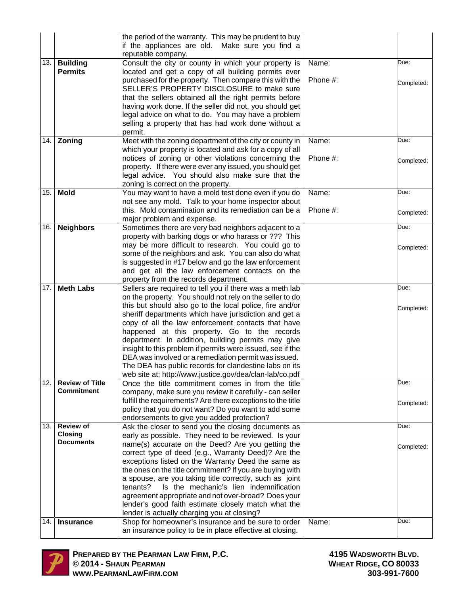|     |                        | the period of the warranty. This may be prudent to buy<br>if the appliances are old. Make sure you find a<br>reputable company. |          |            |
|-----|------------------------|---------------------------------------------------------------------------------------------------------------------------------|----------|------------|
| 13. | <b>Building</b>        | Consult the city or county in which your property is                                                                            | Name:    | Due:       |
|     | <b>Permits</b>         | located and get a copy of all building permits ever                                                                             |          |            |
|     |                        | purchased for the property. Then compare this with the                                                                          | Phone #: |            |
|     |                        | SELLER'S PROPERTY DISCLOSURE to make sure                                                                                       |          | Completed: |
|     |                        | that the sellers obtained all the right permits before                                                                          |          |            |
|     |                        | having work done. If the seller did not, you should get                                                                         |          |            |
|     |                        | legal advice on what to do. You may have a problem                                                                              |          |            |
|     |                        | selling a property that has had work done without a                                                                             |          |            |
|     |                        | permit.                                                                                                                         |          |            |
| 14. | Zoning                 | Meet with the zoning department of the city or county in                                                                        | Name:    | Due:       |
|     |                        | which your property is located and ask for a copy of all                                                                        |          |            |
|     |                        | notices of zoning or other violations concerning the                                                                            | Phone #: | Completed: |
|     |                        | property. If there were ever any issued, you should get                                                                         |          |            |
|     |                        | legal advice. You should also make sure that the                                                                                |          |            |
| 15. |                        | zoning is correct on the property.                                                                                              |          | Due:       |
|     | <b>Mold</b>            | You may want to have a mold test done even if you do<br>not see any mold. Talk to your home inspector about                     | Name:    |            |
|     |                        | this. Mold contamination and its remediation can be a                                                                           | Phone #: |            |
|     |                        | major problem and expense.                                                                                                      |          | Completed: |
| 16. | <b>Neighbors</b>       | Sometimes there are very bad neighbors adjacent to a                                                                            |          | Due:       |
|     |                        | property with barking dogs or who harass or ??? This                                                                            |          |            |
|     |                        | may be more difficult to research. You could go to                                                                              |          | Completed: |
|     |                        | some of the neighbors and ask. You can also do what                                                                             |          |            |
|     |                        | is suggested in #17 below and go the law enforcement                                                                            |          |            |
|     |                        | and get all the law enforcement contacts on the                                                                                 |          |            |
|     |                        | property from the records department.                                                                                           |          |            |
| 17. | <b>Meth Labs</b>       | Sellers are required to tell you if there was a meth lab                                                                        |          | Due:       |
|     |                        | on the property. You should not rely on the seller to do                                                                        |          |            |
|     |                        | this but should also go to the local police, fire and/or                                                                        |          | Completed: |
|     |                        | sheriff departments which have jurisdiction and get a                                                                           |          |            |
|     |                        | copy of all the law enforcement contacts that have                                                                              |          |            |
|     |                        | happened at this property. Go to the records<br>department. In addition, building permits may give                              |          |            |
|     |                        | insight to this problem if permits were issued, see if the                                                                      |          |            |
|     |                        | DEA was involved or a remediation permit was issued.                                                                            |          |            |
|     |                        | The DEA has public records for clandestine labs on its                                                                          |          |            |
|     |                        | web site at: http://www.justice.gov/dea/clan-lab/co.pdf                                                                         |          |            |
| 12. | <b>Review of Title</b> | Once the title commitment comes in from the title                                                                               |          | Due:       |
|     | <b>Commitment</b>      | company, make sure you review it carefully - can seller                                                                         |          |            |
|     |                        | fulfill the requirements? Are there exceptions to the title                                                                     |          | Completed: |
|     |                        | policy that you do not want? Do you want to add some                                                                            |          |            |
|     |                        |                                                                                                                                 |          |            |
| 13. |                        | endorsements to give you added protection?                                                                                      |          |            |
|     | <b>Review of</b>       | Ask the closer to send you the closing documents as                                                                             |          | Due:       |
|     | <b>Closing</b>         | early as possible. They need to be reviewed. Is your                                                                            |          |            |
|     | <b>Documents</b>       | name(s) accurate on the Deed? Are you getting the                                                                               |          | Completed: |
|     |                        | correct type of deed (e.g., Warranty Deed)? Are the                                                                             |          |            |
|     |                        | exceptions listed on the Warranty Deed the same as                                                                              |          |            |
|     |                        | the ones on the title commitment? If you are buying with                                                                        |          |            |
|     |                        | a spouse, are you taking title correctly, such as joint                                                                         |          |            |
|     |                        | Is the mechanic's lien indemnification<br>tenants?                                                                              |          |            |
|     |                        | agreement appropriate and not over-broad? Does your<br>lender's good faith estimate closely match what the                      |          |            |
|     |                        | lender is actually charging you at closing?                                                                                     |          |            |
| 14. | <b>Insurance</b>       | Shop for homeowner's insurance and be sure to order<br>an insurance policy to be in place effective at closing.                 | Name:    | Due:       |

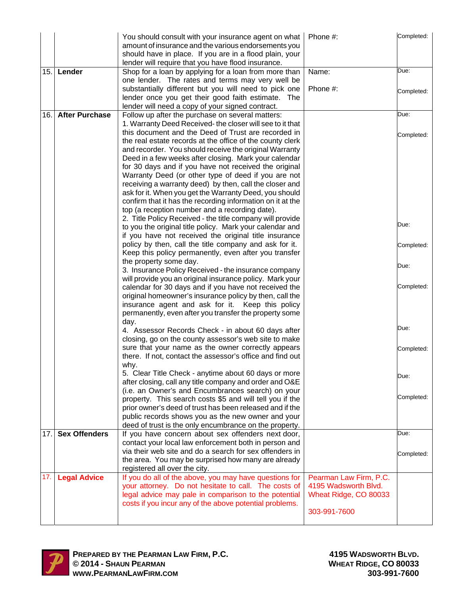|      |                       | You should consult with your insurance agent on what<br>amount of insurance and the various endorsements you<br>should have in place. If you are in a flood plain, your<br>lender will require that you have flood insurance. | Phone #:                                       | Completed: |
|------|-----------------------|-------------------------------------------------------------------------------------------------------------------------------------------------------------------------------------------------------------------------------|------------------------------------------------|------------|
| 15.  | Lender                | Shop for a loan by applying for a loan from more than                                                                                                                                                                         | Name:                                          | Due:       |
|      |                       | one lender. The rates and terms may very well be                                                                                                                                                                              | Phone #:                                       |            |
|      |                       | substantially different but you will need to pick one<br>lender once you get their good faith estimate. The                                                                                                                   |                                                | Completed: |
|      |                       | lender will need a copy of your signed contract.                                                                                                                                                                              |                                                |            |
| 16.  | <b>After Purchase</b> | Follow up after the purchase on several matters:                                                                                                                                                                              |                                                | Due:       |
|      |                       | 1. Warranty Deed Received- the closer will see to it that                                                                                                                                                                     |                                                |            |
|      |                       | this document and the Deed of Trust are recorded in<br>the real estate records at the office of the county clerk                                                                                                              |                                                | Completed: |
|      |                       | and recorder. You should receive the original Warranty                                                                                                                                                                        |                                                |            |
|      |                       | Deed in a few weeks after closing. Mark your calendar                                                                                                                                                                         |                                                |            |
|      |                       | for 30 days and if you have not received the original                                                                                                                                                                         |                                                |            |
|      |                       | Warranty Deed (or other type of deed if you are not                                                                                                                                                                           |                                                |            |
|      |                       | receiving a warranty deed) by then, call the closer and                                                                                                                                                                       |                                                |            |
|      |                       | ask for it. When you get the Warranty Deed, you should<br>confirm that it has the recording information on it at the                                                                                                          |                                                |            |
|      |                       | top (a reception number and a recording date).                                                                                                                                                                                |                                                |            |
|      |                       | 2. Title Policy Received - the title company will provide                                                                                                                                                                     |                                                |            |
|      |                       | to you the original title policy. Mark your calendar and                                                                                                                                                                      |                                                | Due:       |
|      |                       | if you have not received the original title insurance                                                                                                                                                                         |                                                |            |
|      |                       | policy by then, call the title company and ask for it.                                                                                                                                                                        |                                                | Completed: |
|      |                       | Keep this policy permanently, even after you transfer<br>the property some day.                                                                                                                                               |                                                |            |
|      |                       | 3. Insurance Policy Received - the insurance company                                                                                                                                                                          |                                                | Due:       |
|      |                       | will provide you an original insurance policy. Mark your                                                                                                                                                                      |                                                |            |
|      |                       | calendar for 30 days and if you have not received the                                                                                                                                                                         |                                                | Completed: |
|      |                       | original homeowner's insurance policy by then, call the                                                                                                                                                                       |                                                |            |
|      |                       | insurance agent and ask for it. Keep this policy<br>permanently, even after you transfer the property some                                                                                                                    |                                                |            |
|      |                       | day.                                                                                                                                                                                                                          |                                                |            |
|      |                       | 4. Assessor Records Check - in about 60 days after                                                                                                                                                                            |                                                | Due:       |
|      |                       | closing, go on the county assessor's web site to make                                                                                                                                                                         |                                                |            |
|      |                       | sure that your name as the owner correctly appears                                                                                                                                                                            |                                                | Completed: |
|      |                       | there. If not, contact the assessor's office and find out                                                                                                                                                                     |                                                |            |
|      |                       | why.<br>5. Clear Title Check - anytime about 60 days or more                                                                                                                                                                  |                                                |            |
|      |                       | after closing, call any title company and order and O&E                                                                                                                                                                       |                                                | Due:       |
|      |                       | (i.e. an Owner's and Encumbrances search) on your                                                                                                                                                                             |                                                |            |
|      |                       | property. This search costs \$5 and will tell you if the                                                                                                                                                                      |                                                | Completed: |
|      |                       | prior owner's deed of trust has been released and if the                                                                                                                                                                      |                                                |            |
|      |                       | public records shows you as the new owner and your<br>deed of trust is the only encumbrance on the property.                                                                                                                  |                                                |            |
| 17.1 | <b>Sex Offenders</b>  | If you have concern about sex offenders next door,                                                                                                                                                                            |                                                | Due:       |
|      |                       | contact your local law enforcement both in person and                                                                                                                                                                         |                                                |            |
|      |                       | via their web site and do a search for sex offenders in                                                                                                                                                                       |                                                | Completed: |
|      |                       | the area. You may be surprised how many are already                                                                                                                                                                           |                                                |            |
|      |                       | registered all over the city.                                                                                                                                                                                                 |                                                |            |
| 17.  | <b>Legal Advice</b>   | If you do all of the above, you may have questions for<br>your attorney. Do not hesitate to call. The costs of                                                                                                                | Pearman Law Firm, P.C.<br>4195 Wadsworth Blvd. |            |
|      |                       | legal advice may pale in comparison to the potential                                                                                                                                                                          | Wheat Ridge, CO 80033                          |            |
|      |                       | costs if you incur any of the above potential problems.                                                                                                                                                                       |                                                |            |
|      |                       |                                                                                                                                                                                                                               | 303-991-7600                                   |            |
|      |                       |                                                                                                                                                                                                                               |                                                |            |